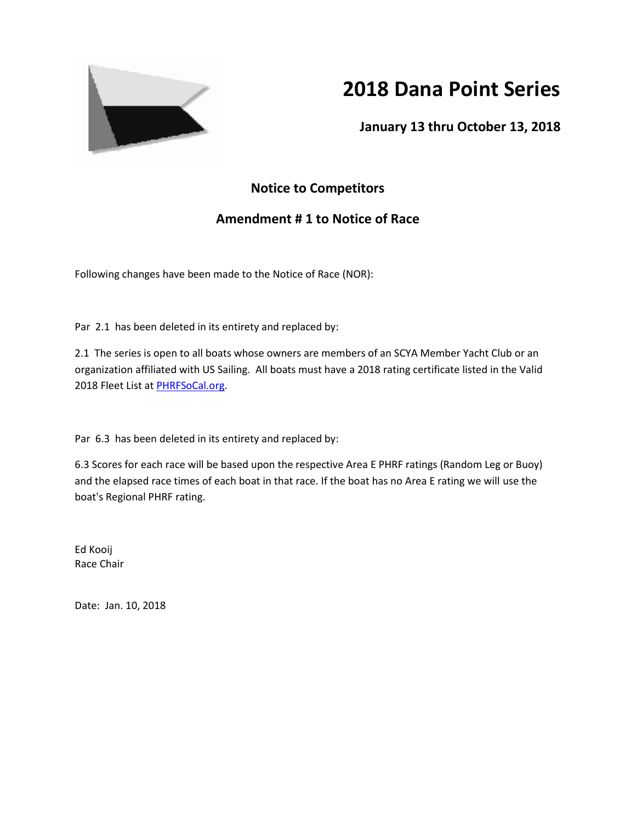

# **2018 Dana Point Series**

**January 13 thru October 13, 2018**

## **Notice to Competitors**

## **Amendment # 1 to Notice of Race**

Following changes have been made to the Notice of Race (NOR):

Par 2.1 has been deleted in its entirety and replaced by:

2.1 The series is open to all boats whose owners are members of an SCYA Member Yacht Club or an organization affiliated with US Sailing. All boats must have a 2018 rating certificate listed in the Valid 2018 Fleet List a[t PHRFSoCal.org.](http://phrfsocal.org/)

Par 6.3 has been deleted in its entirety and replaced by:

6.3 Scores for each race will be based upon the respective Area E PHRF ratings (Random Leg or Buoy) and the elapsed race times of each boat in that race. If the boat has no Area E rating we will use the boat's Regional PHRF rating.

Ed Kooij Race Chair

Date: Jan. 10, 2018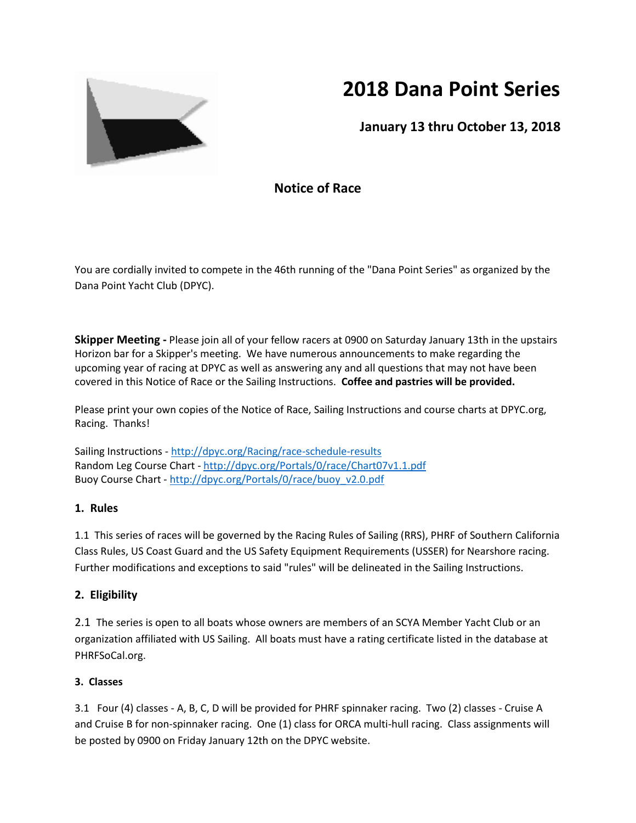

# **2018 Dana Point Series**

**January 13 thru October 13, 2018**

## **Notice of Race**

You are cordially invited to compete in the 46th running of the "Dana Point Series" as organized by the Dana Point Yacht Club (DPYC).

**Skipper Meeting -** Please join all of your fellow racers at 0900 on Saturday January 13th in the upstairs Horizon bar for a Skipper's meeting. We have numerous announcements to make regarding the upcoming year of racing at DPYC as well as answering any and all questions that may not have been covered in this Notice of Race or the Sailing Instructions. **Coffee and pastries will be provided.**

Please print your own copies of the Notice of Race, Sailing Instructions and course charts at DPYC.org, Racing. Thanks!

Sailing Instructions - <http://dpyc.org/Racing/race-schedule-results> Random Leg Course Chart - <http://dpyc.org/Portals/0/race/Chart07v1.1.pdf> Buoy Course Chart - [http://dpyc.org/Portals/0/race/buoy\\_v2.0.pdf](http://dpyc.org/Portals/0/race/buoy_v2.0.pd#f)

### **1. Rules**

1.1 This series of races will be governed by the Racing Rules of Sailing (RRS), PHRF of Southern California Class Rules, US Coast Guard and the US Safety Equipment Requirements (USSER) for Nearshore racing. Further modifications and exceptions to said "rules" will be delineated in the Sailing Instructions.

#### **2. Eligibility**

2.1The series is open to all boats whose owners are members of an SCYA Member Yacht Club or an organization affiliated with US Sailing. All boats must have a rating certificate listed in the database at PHRFSoCal.org.

### **3. Classes**

3.1Four (4) classes - A, B, C, D will be provided for PHRF spinnaker racing. Two (2) classes - Cruise A and Cruise B for non-spinnaker racing. One (1) class for ORCA multi-hull racing. Class assignments will be posted by 0900 on Friday January 12th on the DPYC website.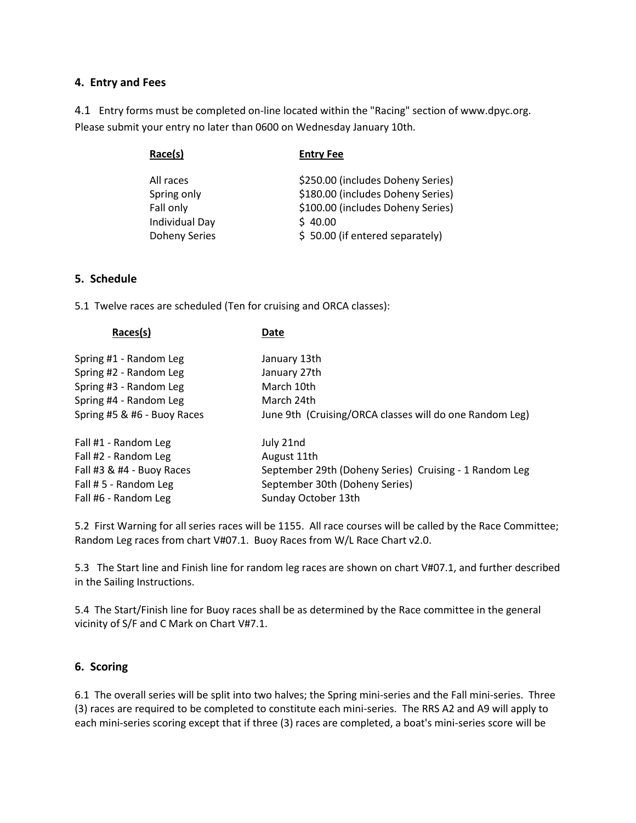#### **4. Entry and Fees**

4.1Entry forms must be completed on-line located within the "Racing" section of www.dpyc.org. Please submit your entry no later than 0600 on Wednesday January 10th.

| Race(s)              | <b>Entry Fee</b>                  |
|----------------------|-----------------------------------|
| All races            | \$250.00 (includes Doheny Series) |
| Spring only          | \$180.00 (includes Doheny Series) |
| Fall only            | \$100.00 (includes Doheny Series) |
| Individual Day       | \$40.00                           |
| <b>Doheny Series</b> | \$50.00 (if entered separately)   |

#### **5. Schedule**

5.1 Twelve races are scheduled (Ten for cruising and ORCA classes):

| Races(s)                    | Date                                                    |
|-----------------------------|---------------------------------------------------------|
| Spring #1 - Random Leg      | January 13th                                            |
| Spring #2 - Random Leg      | January 27th                                            |
| Spring #3 - Random Leg      | March 10th                                              |
| Spring #4 - Random Leg      | March 24th                                              |
| Spring #5 & #6 - Buoy Races | June 9th (Cruising/ORCA classes will do one Random Leg) |
| Fall #1 - Random Leg        | July 21nd                                               |
| Fall #2 - Random Leg        | August 11th                                             |
| Fall #3 $&$ #4 - Buoy Races | September 29th (Doheny Series) Cruising - 1 Random Leg  |
| Fall # 5 - Random Leg       | September 30th (Doheny Series)                          |
| Fall #6 - Random Leg        | Sunday October 13th                                     |

5.2 First Warning for all series races will be 1155. All race courses will be called by the Race Committee; Random Leg races from chart V#07.1. Buoy Races from W/L Race Chart v2.0.

5.3 The Start line and Finish line for random leg races are shown on chart V#07.1, and further described in the Sailing Instructions.

5.4 The Start/Finish line for Buoy races shall be as determined by the Race committee in the general vicinity of S/F and C Mark on Chart V#7.1.

#### **6. Scoring**

6.1 The overall series will be split into two halves; the Spring mini-series and the Fall mini-series. Three (3) races are required to be completed to constitute each mini-series. The RRS A2 and A9 will apply to each mini-series scoring except that if three (3) races are completed, a boat's mini-series score will be